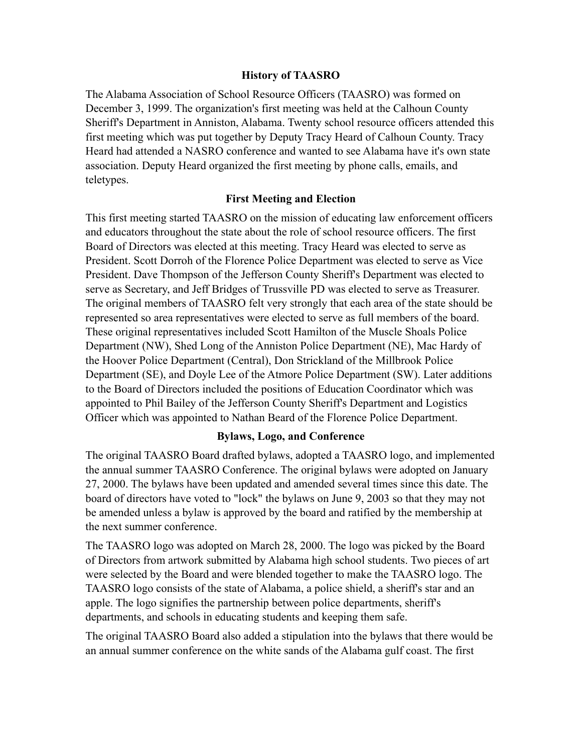## **History of TAASRO**

The Alabama Association of School Resource Officers (TAASRO) was formed on December 3, 1999. The organization's first meeting was held at the Calhoun County Sheriff's Department in Anniston, Alabama. Twenty school resource officers attended this first meeting which was put together by Deputy Tracy Heard of Calhoun County. Tracy Heard had attended a NASRO conference and wanted to see Alabama have it's own state association. Deputy Heard organized the first meeting by phone calls, emails, and teletypes.

## **First Meeting and Election**

This first meeting started TAASRO on the mission of educating law enforcement officers and educators throughout the state about the role of school resource officers. The first Board of Directors was elected at this meeting. Tracy Heard was elected to serve as President. Scott Dorroh of the Florence Police Department was elected to serve as Vice President. Dave Thompson of the Jefferson County Sheriff's Department was elected to serve as Secretary, and Jeff Bridges of Trussville PD was elected to serve as Treasurer. The original members of TAASRO felt very strongly that each area of the state should be represented so area representatives were elected to serve as full members of the board. These original representatives included Scott Hamilton of the Muscle Shoals Police Department (NW), Shed Long of the Anniston Police Department (NE), Mac Hardy of the Hoover Police Department (Central), Don Strickland of the Millbrook Police Department (SE), and Doyle Lee of the Atmore Police Department (SW). Later additions to the Board of Directors included the positions of Education Coordinator which was appointed to Phil Bailey of the Jefferson County Sheriff's Department and Logistics Officer which was appointed to Nathan Beard of the Florence Police Department.

## **Bylaws, Logo, and Conference**

The original TAASRO Board drafted bylaws, adopted a TAASRO logo, and implemented the annual summer TAASRO Conference. The original bylaws were adopted on January 27, 2000. The bylaws have been updated and amended several times since this date. The board of directors have voted to "lock" the bylaws on June 9, 2003 so that they may not be amended unless a bylaw is approved by the board and ratified by the membership at the next summer conference.

The TAASRO logo was adopted on March 28, 2000. The logo was picked by the Board of Directors from artwork submitted by Alabama high school students. Two pieces of art were selected by the Board and were blended together to make the TAASRO logo. The TAASRO logo consists of the state of Alabama, a police shield, a sheriff's star and an apple. The logo signifies the partnership between police departments, sheriff's departments, and schools in educating students and keeping them safe.

The original TAASRO Board also added a stipulation into the bylaws that there would be an annual summer conference on the white sands of the Alabama gulf coast. The first